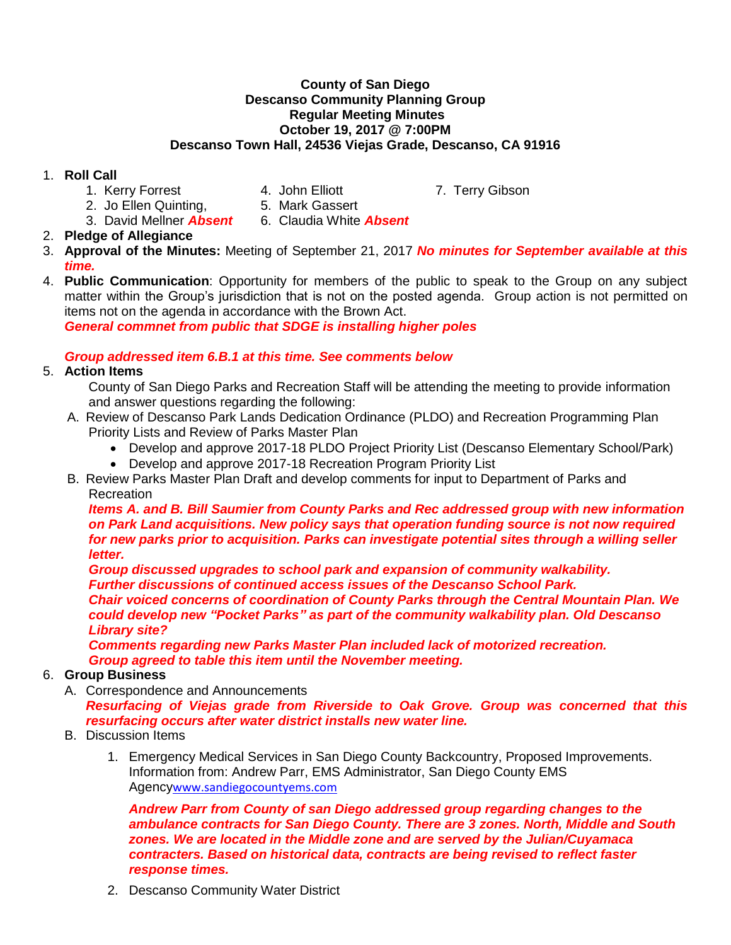#### **County of San Diego Descanso Community Planning Group Regular Meeting Minutes October 19, 2017 @ 7:00PM Descanso Town Hall, 24536 Viejas Grade, Descanso, CA 91916**

### 1. **Roll Call**

- 1. Kerry Forrest **4. John Elliott** 7. Terry Gibson
	-
- 2. Jo Ellen Quinting. 5. Mark Gassert
	-
- 3. David Mellner *Absent* 6. Claudia White *Absent*
- 2. **Pledge of Allegiance**
- 3. **Approval of the Minutes:** Meeting of September 21, 2017 *No minutes for September available at this time.*
- 4. **Public Communication**: Opportunity for members of the public to speak to the Group on any subject matter within the Group's jurisdiction that is not on the posted agenda. Group action is not permitted on items not on the agenda in accordance with the Brown Act.

*General commnet from public that SDGE is installing higher poles*

# *Group addressed item 6.B.1 at this time. See comments below*

- 5. **Action Items**
	- County of San Diego Parks and Recreation Staff will be attending the meeting to provide information and answer questions regarding the following:
	- A. Review of Descanso Park Lands Dedication Ordinance (PLDO) and Recreation Programming Plan Priority Lists and Review of Parks Master Plan
		- Develop and approve 2017-18 PLDO Project Priority List (Descanso Elementary School/Park)
		- Develop and approve 2017-18 Recreation Program Priority List
	- B. Review Parks Master Plan Draft and develop comments for input to Department of Parks and Recreation

*Items A. and B. Bill Saumier from County Parks and Rec addressed group with new information on Park Land acquisitions. New policy says that operation funding source is not now required for new parks prior to acquisition. Parks can investigate potential sites through a willing seller letter.* 

*Group discussed upgrades to school park and expansion of community walkability. Further discussions of continued access issues of the Descanso School Park. Chair voiced concerns of coordination of County Parks through the Central Mountain Plan. We could develop new "Pocket Parks" as part of the community walkability plan. Old Descanso Library site?*

*Comments regarding new Parks Master Plan included lack of motorized recreation. Group agreed to table this item until the November meeting.*

## 6. **Group Business**

- A. Correspondence and Announcements *Resurfacing of Viejas grade from Riverside to Oak Grove. Group was concerned that this resurfacing occurs after water district installs new water line.*
- B. Discussion Items
	- 1. Emergency Medical Services in San Diego County Backcountry, Proposed Improvements. Information from: Andrew Parr, EMS Administrator, San Diego County EMS Agency[www.sandiegocountyems.com](http://www.sandiegocountyems.com/)

*Andrew Parr from County of san Diego addressed group regarding changes to the ambulance contracts for San Diego County. There are 3 zones. North, Middle and South zones. We are located in the Middle zone and are served by the Julian/Cuyamaca contracters. Based on historical data, contracts are being revised to reflect faster response times.* 

2. Descanso Community Water District